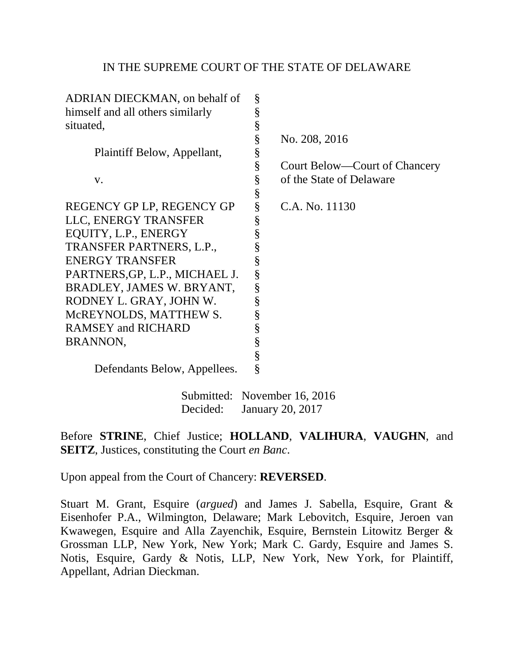# IN THE SUPREME COURT OF THE STATE OF DELAWARE

| ADRIAN DIECKMAN, on behalf of    | § |                               |
|----------------------------------|---|-------------------------------|
| himself and all others similarly | § |                               |
| situated,                        | § |                               |
|                                  | § | No. 208, 2016                 |
| Plaintiff Below, Appellant,      | § |                               |
|                                  | § | Court Below—Court of Chancery |
| V.                               | § | of the State of Delaware      |
|                                  | § |                               |
| REGENCY GP LP, REGENCY GP        | § | C.A. No. 11130                |
| LLC, ENERGY TRANSFER             | § |                               |
| EQUITY, L.P., ENERGY             | § |                               |
| TRANSFER PARTNERS, L.P.,         | § |                               |
| <b>ENERGY TRANSFER</b>           | § |                               |
| PARTNERS, GP, L.P., MICHAEL J.   | § |                               |
| BRADLEY, JAMES W. BRYANT,        | § |                               |
| RODNEY L. GRAY, JOHN W.          | § |                               |
| McREYNOLDS, MATTHEW S.           | § |                               |
| <b>RAMSEY and RICHARD</b>        | § |                               |
| <b>BRANNON,</b>                  | § |                               |
|                                  | § |                               |
| Defendants Below, Appellees.     | § |                               |

 Submitted: November 16, 2016 Decided: January 20, 2017

Before **STRINE**, Chief Justice; **HOLLAND**, **VALIHURA**, **VAUGHN**, and **SEITZ**, Justices, constituting the Court *en Banc*.

Upon appeal from the Court of Chancery: **REVERSED**.

Stuart M. Grant, Esquire (*argued*) and James J. Sabella, Esquire, Grant & Eisenhofer P.A., Wilmington, Delaware; Mark Lebovitch, Esquire, Jeroen van Kwawegen, Esquire and Alla Zayenchik, Esquire, Bernstein Litowitz Berger & Grossman LLP, New York, New York; Mark C. Gardy, Esquire and James S. Notis, Esquire, Gardy & Notis, LLP, New York, New York, for Plaintiff, Appellant, Adrian Dieckman.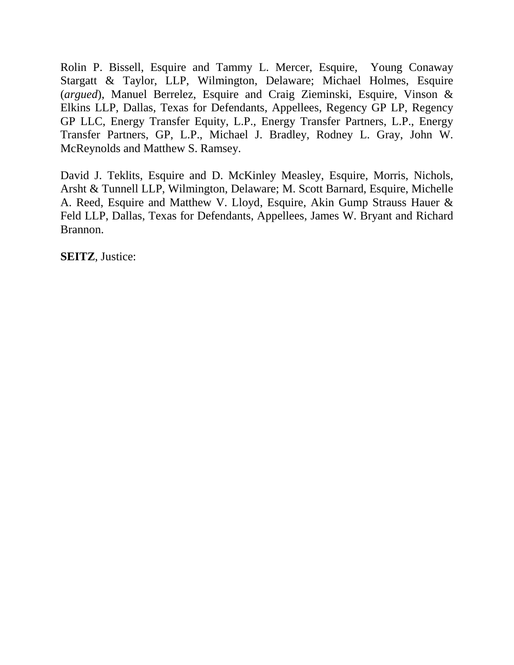Rolin P. Bissell, Esquire and Tammy L. Mercer, Esquire, Young Conaway Stargatt & Taylor, LLP, Wilmington, Delaware; Michael Holmes, Esquire (*argued*), Manuel Berrelez, Esquire and Craig Zieminski, Esquire, Vinson & Elkins LLP, Dallas, Texas for Defendants, Appellees, Regency GP LP, Regency GP LLC, Energy Transfer Equity, L.P., Energy Transfer Partners, L.P., Energy Transfer Partners, GP, L.P., Michael J. Bradley, Rodney L. Gray, John W. McReynolds and Matthew S. Ramsey.

David J. Teklits, Esquire and D. McKinley Measley, Esquire, Morris, Nichols, Arsht & Tunnell LLP, Wilmington, Delaware; M. Scott Barnard, Esquire, Michelle A. Reed, Esquire and Matthew V. Lloyd, Esquire, Akin Gump Strauss Hauer & Feld LLP, Dallas, Texas for Defendants, Appellees, James W. Bryant and Richard Brannon.

**SEITZ**, Justice: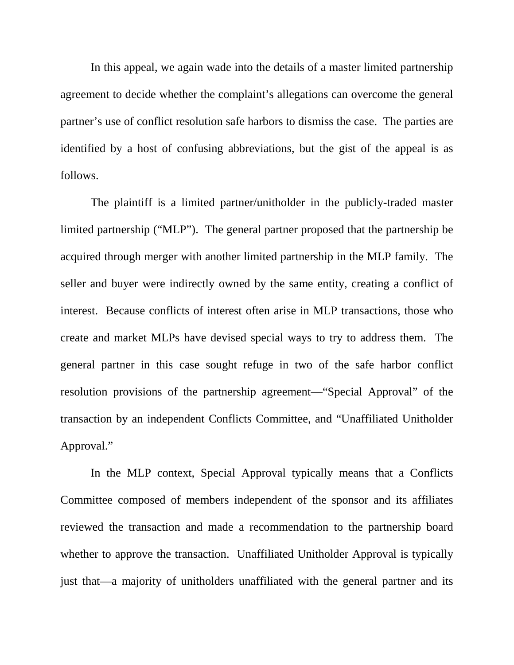In this appeal, we again wade into the details of a master limited partnership agreement to decide whether the complaint's allegations can overcome the general partner's use of conflict resolution safe harbors to dismiss the case. The parties are identified by a host of confusing abbreviations, but the gist of the appeal is as follows.

 The plaintiff is a limited partner/unitholder in the publicly-traded master limited partnership ("MLP"). The general partner proposed that the partnership be acquired through merger with another limited partnership in the MLP family. The seller and buyer were indirectly owned by the same entity, creating a conflict of interest. Because conflicts of interest often arise in MLP transactions, those who create and market MLPs have devised special ways to try to address them. The general partner in this case sought refuge in two of the safe harbor conflict resolution provisions of the partnership agreement—"Special Approval" of the transaction by an independent Conflicts Committee, and "Unaffiliated Unitholder Approval."

 In the MLP context, Special Approval typically means that a Conflicts Committee composed of members independent of the sponsor and its affiliates reviewed the transaction and made a recommendation to the partnership board whether to approve the transaction. Unaffiliated Unitholder Approval is typically just that—a majority of unitholders unaffiliated with the general partner and its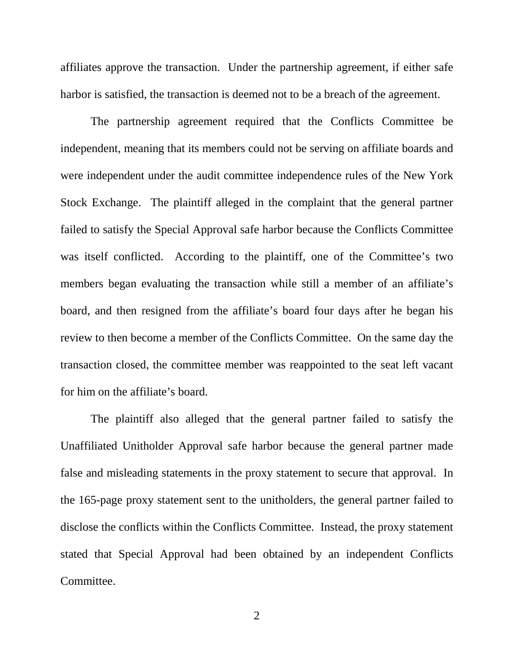affiliates approve the transaction. Under the partnership agreement, if either safe harbor is satisfied, the transaction is deemed not to be a breach of the agreement.

 The partnership agreement required that the Conflicts Committee be independent, meaning that its members could not be serving on affiliate boards and were independent under the audit committee independence rules of the New York Stock Exchange. The plaintiff alleged in the complaint that the general partner failed to satisfy the Special Approval safe harbor because the Conflicts Committee was itself conflicted. According to the plaintiff, one of the Committee's two members began evaluating the transaction while still a member of an affiliate's board, and then resigned from the affiliate's board four days after he began his review to then become a member of the Conflicts Committee. On the same day the transaction closed, the committee member was reappointed to the seat left vacant for him on the affiliate's board.

 The plaintiff also alleged that the general partner failed to satisfy the Unaffiliated Unitholder Approval safe harbor because the general partner made false and misleading statements in the proxy statement to secure that approval. In the 165-page proxy statement sent to the unitholders, the general partner failed to disclose the conflicts within the Conflicts Committee. Instead, the proxy statement stated that Special Approval had been obtained by an independent Conflicts Committee.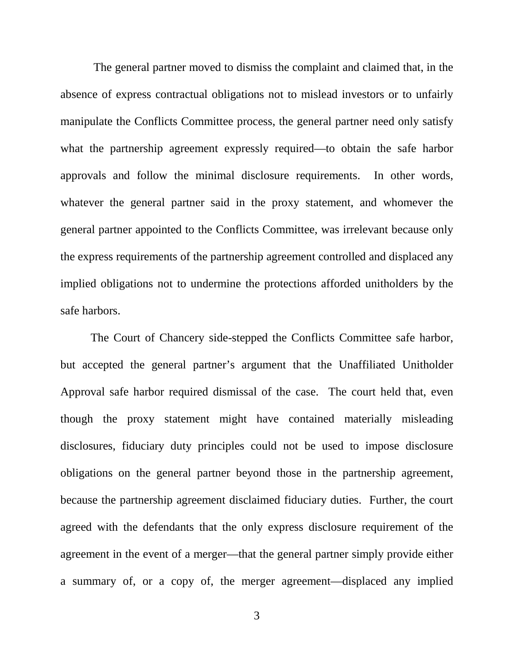The general partner moved to dismiss the complaint and claimed that, in the absence of express contractual obligations not to mislead investors or to unfairly manipulate the Conflicts Committee process, the general partner need only satisfy what the partnership agreement expressly required—to obtain the safe harbor approvals and follow the minimal disclosure requirements. In other words, whatever the general partner said in the proxy statement, and whomever the general partner appointed to the Conflicts Committee, was irrelevant because only the express requirements of the partnership agreement controlled and displaced any implied obligations not to undermine the protections afforded unitholders by the safe harbors.

 The Court of Chancery side-stepped the Conflicts Committee safe harbor, but accepted the general partner's argument that the Unaffiliated Unitholder Approval safe harbor required dismissal of the case. The court held that, even though the proxy statement might have contained materially misleading disclosures, fiduciary duty principles could not be used to impose disclosure obligations on the general partner beyond those in the partnership agreement, because the partnership agreement disclaimed fiduciary duties. Further, the court agreed with the defendants that the only express disclosure requirement of the agreement in the event of a merger—that the general partner simply provide either a summary of, or a copy of, the merger agreement—displaced any implied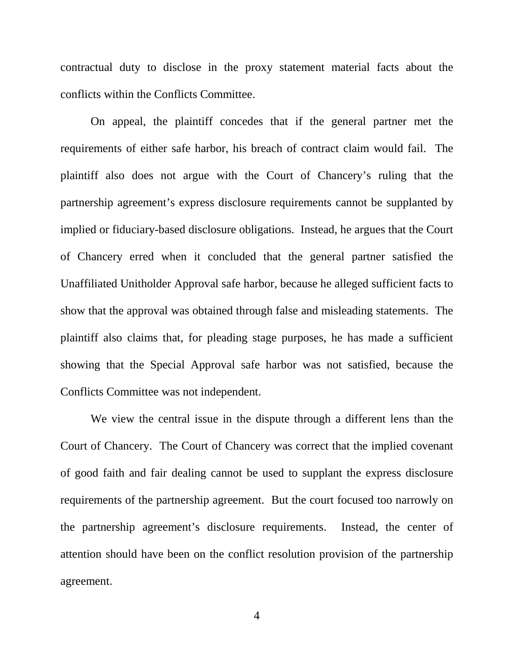contractual duty to disclose in the proxy statement material facts about the conflicts within the Conflicts Committee.

 On appeal, the plaintiff concedes that if the general partner met the requirements of either safe harbor, his breach of contract claim would fail. The plaintiff also does not argue with the Court of Chancery's ruling that the partnership agreement's express disclosure requirements cannot be supplanted by implied or fiduciary-based disclosure obligations. Instead, he argues that the Court of Chancery erred when it concluded that the general partner satisfied the Unaffiliated Unitholder Approval safe harbor, because he alleged sufficient facts to show that the approval was obtained through false and misleading statements. The plaintiff also claims that, for pleading stage purposes, he has made a sufficient showing that the Special Approval safe harbor was not satisfied, because the Conflicts Committee was not independent.

 We view the central issue in the dispute through a different lens than the Court of Chancery. The Court of Chancery was correct that the implied covenant of good faith and fair dealing cannot be used to supplant the express disclosure requirements of the partnership agreement. But the court focused too narrowly on the partnership agreement's disclosure requirements. Instead, the center of attention should have been on the conflict resolution provision of the partnership agreement.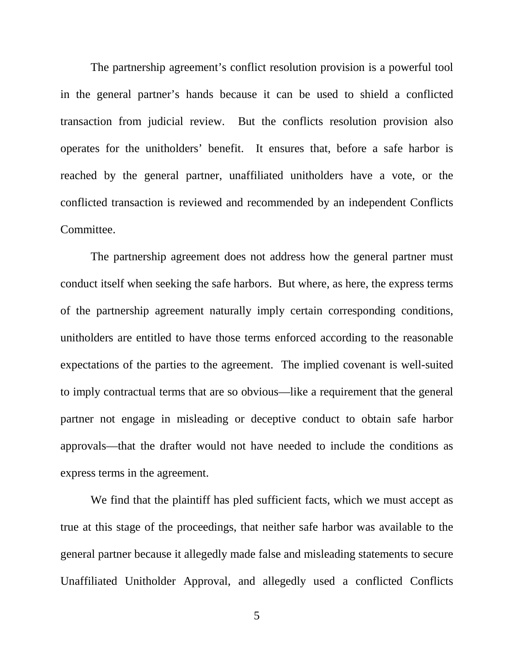The partnership agreement's conflict resolution provision is a powerful tool in the general partner's hands because it can be used to shield a conflicted transaction from judicial review. But the conflicts resolution provision also operates for the unitholders' benefit. It ensures that, before a safe harbor is reached by the general partner, unaffiliated unitholders have a vote, or the conflicted transaction is reviewed and recommended by an independent Conflicts Committee.

 The partnership agreement does not address how the general partner must conduct itself when seeking the safe harbors. But where, as here, the express terms of the partnership agreement naturally imply certain corresponding conditions, unitholders are entitled to have those terms enforced according to the reasonable expectations of the parties to the agreement. The implied covenant is well-suited to imply contractual terms that are so obvious—like a requirement that the general partner not engage in misleading or deceptive conduct to obtain safe harbor approvals—that the drafter would not have needed to include the conditions as express terms in the agreement.

We find that the plaintiff has pled sufficient facts, which we must accept as true at this stage of the proceedings, that neither safe harbor was available to the general partner because it allegedly made false and misleading statements to secure Unaffiliated Unitholder Approval, and allegedly used a conflicted Conflicts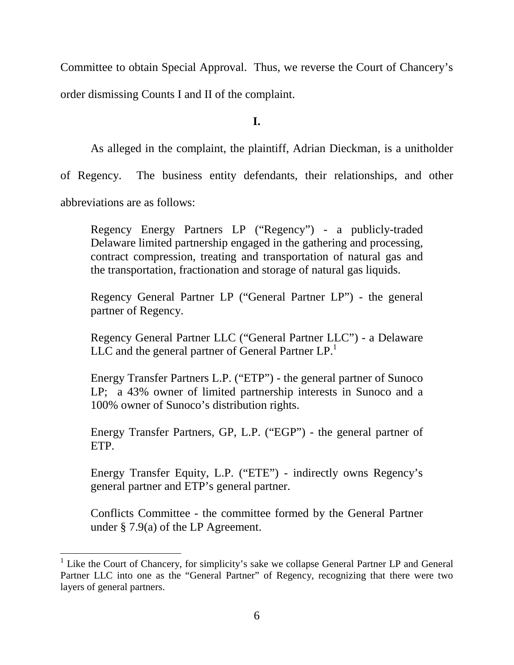Committee to obtain Special Approval. Thus, we reverse the Court of Chancery's order dismissing Counts I and II of the complaint.

**I.**

 As alleged in the complaint, the plaintiff, Adrian Dieckman, is a unitholder of Regency. The business entity defendants, their relationships, and other abbreviations are as follows:

Regency Energy Partners LP ("Regency") - a publicly-traded Delaware limited partnership engaged in the gathering and processing, contract compression, treating and transportation of natural gas and the transportation, fractionation and storage of natural gas liquids.

Regency General Partner LP ("General Partner LP") - the general partner of Regency.

Regency General Partner LLC ("General Partner LLC") - a Delaware LLC and the general partner of General Partner  $LP<sup>1</sup>$ .

Energy Transfer Partners L.P. ("ETP") - the general partner of Sunoco LP; a 43% owner of limited partnership interests in Sunoco and a 100% owner of Sunoco's distribution rights.

Energy Transfer Partners, GP, L.P. ("EGP") - the general partner of ETP.

Energy Transfer Equity, L.P. ("ETE") - indirectly owns Regency's general partner and ETP's general partner.

Conflicts Committee - the committee formed by the General Partner under § 7.9(a) of the LP Agreement.

<sup>&</sup>lt;sup>1</sup> Like the Court of Chancery, for simplicity's sake we collapse General Partner LP and General Partner LLC into one as the "General Partner" of Regency, recognizing that there were two layers of general partners.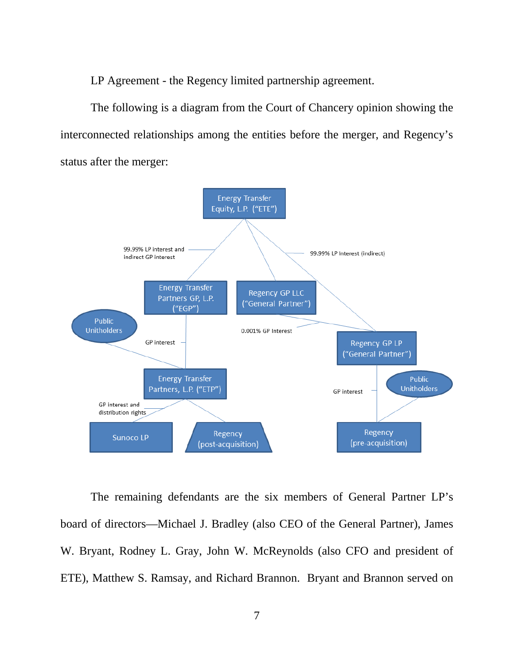LP Agreement - the Regency limited partnership agreement.

 The following is a diagram from the Court of Chancery opinion showing the interconnected relationships among the entities before the merger, and Regency's status after the merger:



 The remaining defendants are the six members of General Partner LP's board of directors—Michael J. Bradley (also CEO of the General Partner), James W. Bryant, Rodney L. Gray, John W. McReynolds (also CFO and president of ETE), Matthew S. Ramsay, and Richard Brannon. Bryant and Brannon served on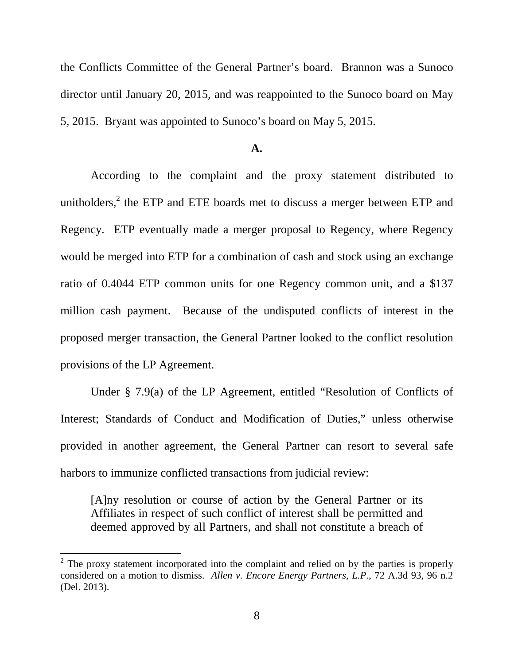the Conflicts Committee of the General Partner's board. Brannon was a Sunoco director until January 20, 2015, and was reappointed to the Sunoco board on May 5, 2015. Bryant was appointed to Sunoco's board on May 5, 2015.

### **A.**

 According to the complaint and the proxy statement distributed to unitholders, $<sup>2</sup>$  the ETP and ETE boards met to discuss a merger between ETP and</sup> Regency. ETP eventually made a merger proposal to Regency, where Regency would be merged into ETP for a combination of cash and stock using an exchange ratio of 0.4044 ETP common units for one Regency common unit, and a \$137 million cash payment. Because of the undisputed conflicts of interest in the proposed merger transaction, the General Partner looked to the conflict resolution provisions of the LP Agreement.

 Under § 7.9(a) of the LP Agreement, entitled "Resolution of Conflicts of Interest; Standards of Conduct and Modification of Duties," unless otherwise provided in another agreement, the General Partner can resort to several safe harbors to immunize conflicted transactions from judicial review:

[A]ny resolution or course of action by the General Partner or its Affiliates in respect of such conflict of interest shall be permitted and deemed approved by all Partners, and shall not constitute a breach of

<sup>&</sup>lt;sup>2</sup> The proxy statement incorporated into the complaint and relied on by the parties is properly considered on a motion to dismiss. *Allen v. Encore Energy Partners, L.P.*, 72 A.3d 93, 96 n.2 (Del. 2013).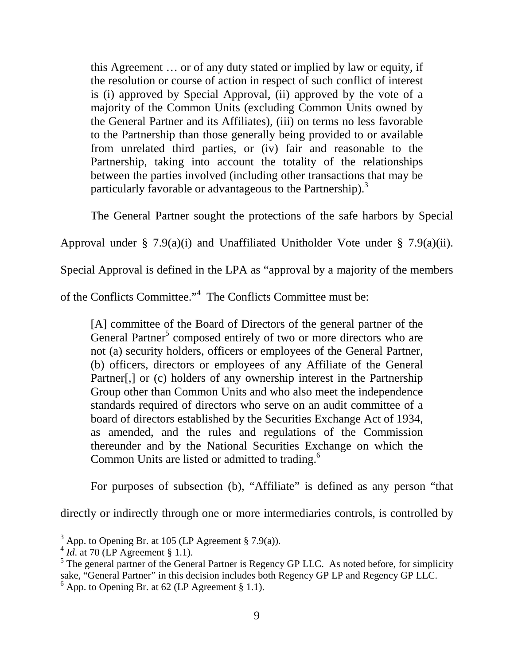this Agreement … or of any duty stated or implied by law or equity, if the resolution or course of action in respect of such conflict of interest is (i) approved by Special Approval, (ii) approved by the vote of a majority of the Common Units (excluding Common Units owned by the General Partner and its Affiliates), (iii) on terms no less favorable to the Partnership than those generally being provided to or available from unrelated third parties, or (iv) fair and reasonable to the Partnership, taking into account the totality of the relationships between the parties involved (including other transactions that may be particularly favorable or advantageous to the Partnership).<sup>3</sup>

The General Partner sought the protections of the safe harbors by Special

Approval under § 7.9(a)(i) and Unaffiliated Unitholder Vote under § 7.9(a)(ii).

Special Approval is defined in the LPA as "approval by a majority of the members

of the Conflicts Committee."<sup>4</sup> The Conflicts Committee must be:

[A] committee of the Board of Directors of the general partner of the General Partner<sup>5</sup> composed entirely of two or more directors who are not (a) security holders, officers or employees of the General Partner, (b) officers, directors or employees of any Affiliate of the General Partner[,] or (c) holders of any ownership interest in the Partnership Group other than Common Units and who also meet the independence standards required of directors who serve on an audit committee of a board of directors established by the Securities Exchange Act of 1934, as amended, and the rules and regulations of the Commission thereunder and by the National Securities Exchange on which the Common Units are listed or admitted to trading.<sup>6</sup>

For purposes of subsection (b), "Affiliate" is defined as any person "that

directly or indirectly through one or more intermediaries controls, is controlled by

 $3$  App. to Opening Br. at 105 (LP Agreement § 7.9(a)).

 $^{4}$  *Id.* at 70 (LP Agreement § 1.1).

<sup>&</sup>lt;sup>5</sup> The general partner of the General Partner is Regency GP LLC. As noted before, for simplicity sake, "General Partner" in this decision includes both Regency GP LP and Regency GP LLC.  $<sup>6</sup>$  App. to Opening Br. at 62 (LP Agreement § 1.1).</sup>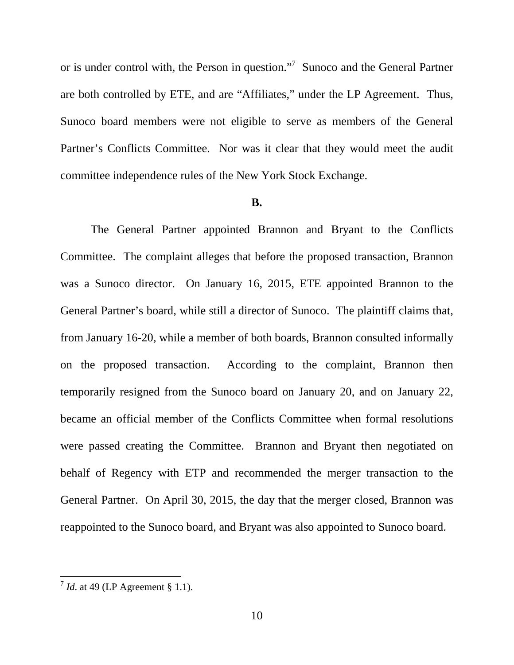or is under control with, the Person in question."<sup>7</sup> Sunoco and the General Partner are both controlled by ETE, and are "Affiliates," under the LP Agreement. Thus, Sunoco board members were not eligible to serve as members of the General Partner's Conflicts Committee. Nor was it clear that they would meet the audit committee independence rules of the New York Stock Exchange.

#### **B.**

 The General Partner appointed Brannon and Bryant to the Conflicts Committee. The complaint alleges that before the proposed transaction, Brannon was a Sunoco director. On January 16, 2015, ETE appointed Brannon to the General Partner's board, while still a director of Sunoco. The plaintiff claims that, from January 16-20, while a member of both boards, Brannon consulted informally on the proposed transaction. According to the complaint, Brannon then temporarily resigned from the Sunoco board on January 20, and on January 22, became an official member of the Conflicts Committee when formal resolutions were passed creating the Committee. Brannon and Bryant then negotiated on behalf of Regency with ETP and recommended the merger transaction to the General Partner. On April 30, 2015, the day that the merger closed, Brannon was reappointed to the Sunoco board, and Bryant was also appointed to Sunoco board.

*T Id.* at 49 (LP Agreement § 1.1).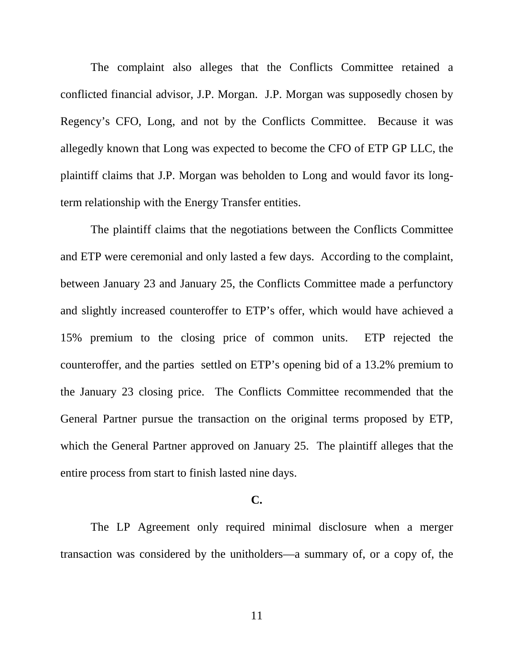The complaint also alleges that the Conflicts Committee retained a conflicted financial advisor, J.P. Morgan. J.P. Morgan was supposedly chosen by Regency's CFO, Long, and not by the Conflicts Committee. Because it was allegedly known that Long was expected to become the CFO of ETP GP LLC, the plaintiff claims that J.P. Morgan was beholden to Long and would favor its longterm relationship with the Energy Transfer entities.

 The plaintiff claims that the negotiations between the Conflicts Committee and ETP were ceremonial and only lasted a few days. According to the complaint, between January 23 and January 25, the Conflicts Committee made a perfunctory and slightly increased counteroffer to ETP's offer, which would have achieved a 15% premium to the closing price of common units. ETP rejected the counteroffer, and the parties settled on ETP's opening bid of a 13.2% premium to the January 23 closing price. The Conflicts Committee recommended that the General Partner pursue the transaction on the original terms proposed by ETP, which the General Partner approved on January 25. The plaintiff alleges that the entire process from start to finish lasted nine days.

## **C.**

 The LP Agreement only required minimal disclosure when a merger transaction was considered by the unitholders—a summary of, or a copy of, the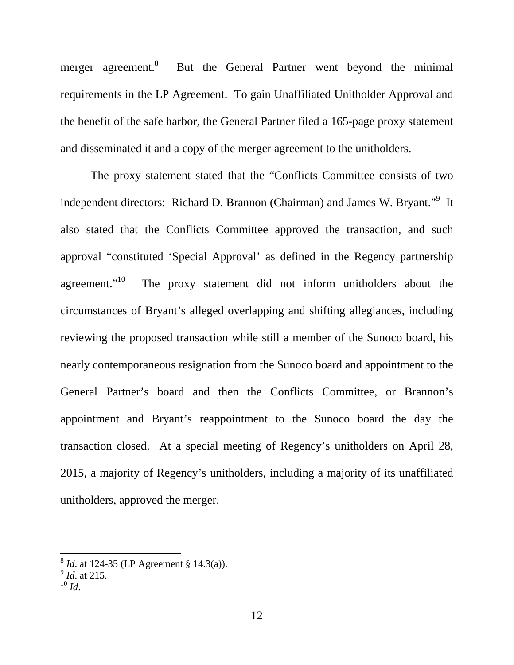merger agreement.<sup>8</sup> But the General Partner went beyond the minimal requirements in the LP Agreement. To gain Unaffiliated Unitholder Approval and the benefit of the safe harbor, the General Partner filed a 165-page proxy statement and disseminated it and a copy of the merger agreement to the unitholders.

 The proxy statement stated that the "Conflicts Committee consists of two independent directors: Richard D. Brannon (Chairman) and James W. Bryant."<sup>9</sup> It also stated that the Conflicts Committee approved the transaction, and such approval "constituted 'Special Approval' as defined in the Regency partnership agreement."<sup>10</sup> The proxy statement did not inform unitholders about the circumstances of Bryant's alleged overlapping and shifting allegiances, including reviewing the proposed transaction while still a member of the Sunoco board, his nearly contemporaneous resignation from the Sunoco board and appointment to the General Partner's board and then the Conflicts Committee, or Brannon's appointment and Bryant's reappointment to the Sunoco board the day the transaction closed. At a special meeting of Regency's unitholders on April 28, 2015, a majority of Regency's unitholders, including a majority of its unaffiliated unitholders, approved the merger.

 8 *Id*. at 124-35 (LP Agreement § 14.3(a)). 9 *Id*. at 215.

 $^{10}$  *Id.*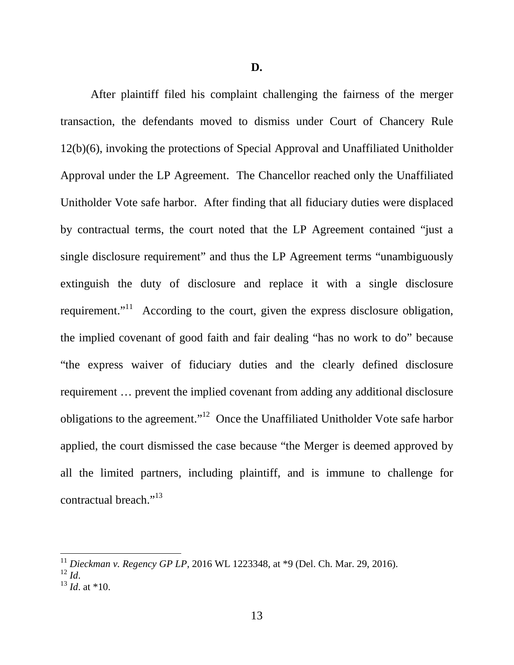**D.**

 After plaintiff filed his complaint challenging the fairness of the merger transaction, the defendants moved to dismiss under Court of Chancery Rule 12(b)(6), invoking the protections of Special Approval and Unaffiliated Unitholder Approval under the LP Agreement. The Chancellor reached only the Unaffiliated Unitholder Vote safe harbor. After finding that all fiduciary duties were displaced by contractual terms, the court noted that the LP Agreement contained "just a single disclosure requirement" and thus the LP Agreement terms "unambiguously extinguish the duty of disclosure and replace it with a single disclosure requirement. $11^1$  According to the court, given the express disclosure obligation, the implied covenant of good faith and fair dealing "has no work to do" because "the express waiver of fiduciary duties and the clearly defined disclosure requirement … prevent the implied covenant from adding any additional disclosure obligations to the agreement."<sup>12</sup> Once the Unaffiliated Unitholder Vote safe harbor applied, the court dismissed the case because "the Merger is deemed approved by all the limited partners, including plaintiff, and is immune to challenge for contractual breach."<sup>13</sup>

<sup>11</sup> *Dieckman v. Regency GP LP*, 2016 WL 1223348, at \*9 (Del. Ch. Mar. 29, 2016).  $^{12}$  *Id*.

 $^{13}$  *Id.* at \*10.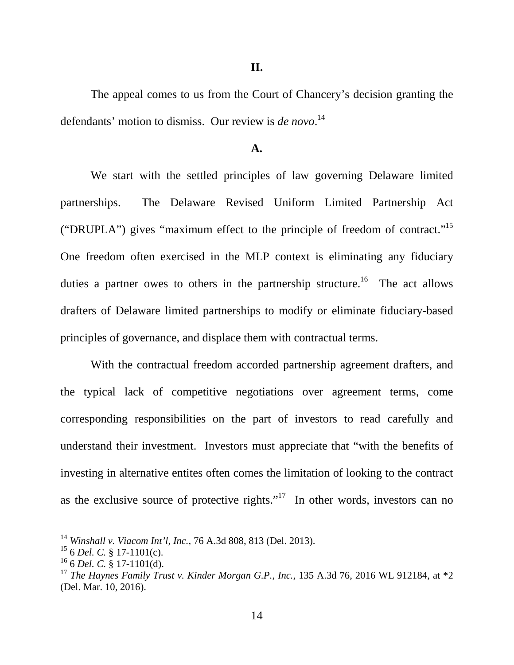**II.**

 The appeal comes to us from the Court of Chancery's decision granting the defendants' motion to dismiss. Our review is *de novo*. 14

### **A.**

 We start with the settled principles of law governing Delaware limited partnerships. The Delaware Revised Uniform Limited Partnership Act ("DRUPLA") gives "maximum effect to the principle of freedom of contract."<sup>15</sup> One freedom often exercised in the MLP context is eliminating any fiduciary duties a partner owes to others in the partnership structure.<sup>16</sup> The act allows drafters of Delaware limited partnerships to modify or eliminate fiduciary-based principles of governance, and displace them with contractual terms.

 With the contractual freedom accorded partnership agreement drafters, and the typical lack of competitive negotiations over agreement terms, come corresponding responsibilities on the part of investors to read carefully and understand their investment. Investors must appreciate that "with the benefits of investing in alternative entites often comes the limitation of looking to the contract as the exclusive source of protective rights."<sup>17</sup> In other words, investors can no

<sup>14</sup> *Winshall v. Viacom Int'l, Inc.*, 76 A.3d 808, 813 (Del. 2013).

<sup>15</sup> 6 *Del. C.* § 17-1101(c).

<sup>16</sup> 6 *Del. C.* § 17-1101(d).

<sup>&</sup>lt;sup>17</sup> *The Haynes Family Trust v. Kinder Morgan G.P., Inc., 135 A.3d 76, 2016 WL 912184, at \*2* (Del. Mar. 10, 2016).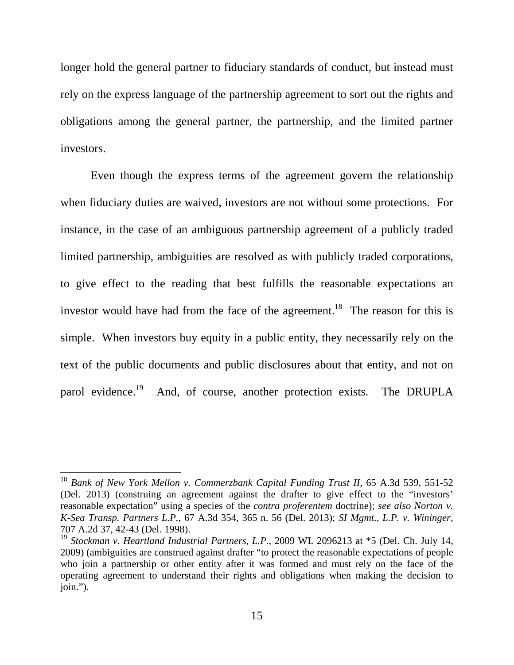longer hold the general partner to fiduciary standards of conduct, but instead must rely on the express language of the partnership agreement to sort out the rights and obligations among the general partner, the partnership, and the limited partner investors.

 Even though the express terms of the agreement govern the relationship when fiduciary duties are waived, investors are not without some protections. For instance, in the case of an ambiguous partnership agreement of a publicly traded limited partnership, ambiguities are resolved as with publicly traded corporations, to give effect to the reading that best fulfills the reasonable expectations an investor would have had from the face of the agreement.<sup>18</sup> The reason for this is simple. When investors buy equity in a public entity, they necessarily rely on the text of the public documents and public disclosures about that entity, and not on parol evidence.<sup>19</sup> And, of course, another protection exists. The DRUPLA

<sup>18</sup> *Bank of New York Mellon v. Commerzbank Capital Funding Trust II*, 65 A.3d 539, 551-52 (Del. 2013) (construing an agreement against the drafter to give effect to the "investors' reasonable expectation" using a species of the *contra proferentem* doctrine); *see also Norton v. K-Sea Transp. Partners L.P.*, 67 A.3d 354, 365 n. 56 (Del. 2013); *SI Mgmt., L.P. v. Wininger*, 707 A.2d 37, 42-43 (Del. 1998).

<sup>19</sup> *Stockman v. Heartland Industrial Partners, L.P.*, 2009 WL 2096213 at \*5 (Del. Ch. July 14, 2009) (ambiguities are construed against drafter "to protect the reasonable expectations of people who join a partnership or other entity after it was formed and must rely on the face of the operating agreement to understand their rights and obligations when making the decision to join.").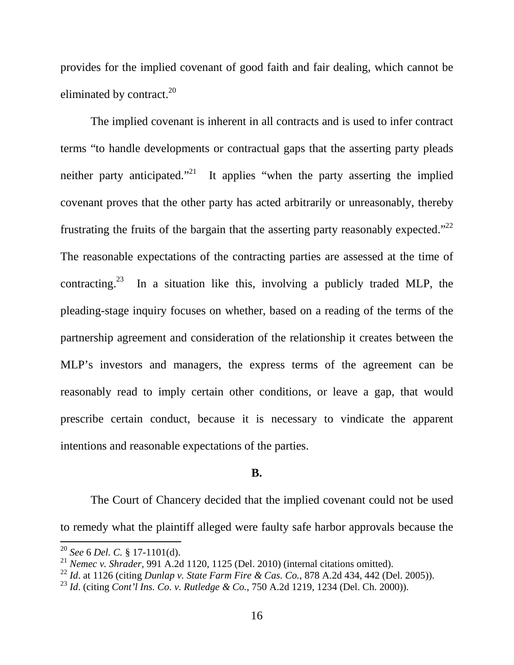provides for the implied covenant of good faith and fair dealing, which cannot be eliminated by contract. $^{20}$ 

 The implied covenant is inherent in all contracts and is used to infer contract terms "to handle developments or contractual gaps that the asserting party pleads neither party anticipated."<sup>21</sup> It applies "when the party asserting the implied covenant proves that the other party has acted arbitrarily or unreasonably, thereby frustrating the fruits of the bargain that the asserting party reasonably expected."<sup>22</sup> The reasonable expectations of the contracting parties are assessed at the time of contracting.<sup>23</sup> In a situation like this, involving a publicly traded MLP, the pleading-stage inquiry focuses on whether, based on a reading of the terms of the partnership agreement and consideration of the relationship it creates between the MLP's investors and managers, the express terms of the agreement can be reasonably read to imply certain other conditions, or leave a gap, that would prescribe certain conduct, because it is necessary to vindicate the apparent intentions and reasonable expectations of the parties.

## **B.**

 The Court of Chancery decided that the implied covenant could not be used to remedy what the plaintiff alleged were faulty safe harbor approvals because the

-

<sup>20</sup> *See* 6 *Del. C.* § 17-1101(d).

<sup>21</sup> *Nemec v. Shrader*, 991 A.2d 1120, 1125 (Del. 2010) (internal citations omitted).

<sup>22</sup> *Id*. at 1126 (citing *Dunlap v. State Farm Fire & Cas. Co.*, 878 A.2d 434, 442 (Del. 2005)).

<sup>23</sup> *Id*. (citing *Cont'l Ins. Co. v. Rutledge & Co.*, 750 A.2d 1219, 1234 (Del. Ch. 2000)).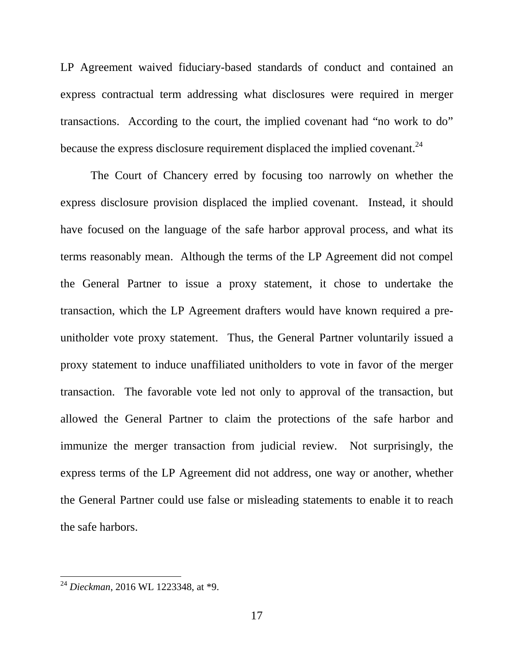LP Agreement waived fiduciary-based standards of conduct and contained an express contractual term addressing what disclosures were required in merger transactions. According to the court, the implied covenant had "no work to do" because the express disclosure requirement displaced the implied covenant.<sup>24</sup>

 The Court of Chancery erred by focusing too narrowly on whether the express disclosure provision displaced the implied covenant. Instead, it should have focused on the language of the safe harbor approval process, and what its terms reasonably mean. Although the terms of the LP Agreement did not compel the General Partner to issue a proxy statement, it chose to undertake the transaction, which the LP Agreement drafters would have known required a preunitholder vote proxy statement. Thus, the General Partner voluntarily issued a proxy statement to induce unaffiliated unitholders to vote in favor of the merger transaction. The favorable vote led not only to approval of the transaction, but allowed the General Partner to claim the protections of the safe harbor and immunize the merger transaction from judicial review. Not surprisingly, the express terms of the LP Agreement did not address, one way or another, whether the General Partner could use false or misleading statements to enable it to reach the safe harbors.

<sup>24</sup> *Dieckman*, 2016 WL 1223348, at \*9.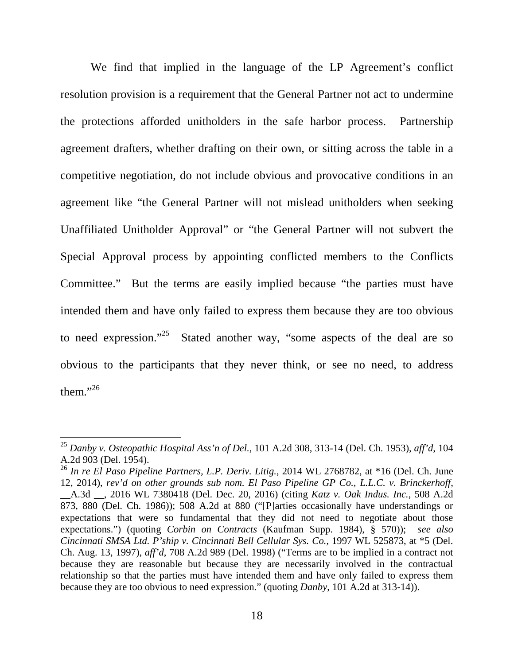We find that implied in the language of the LP Agreement's conflict resolution provision is a requirement that the General Partner not act to undermine the protections afforded unitholders in the safe harbor process. Partnership agreement drafters, whether drafting on their own, or sitting across the table in a competitive negotiation, do not include obvious and provocative conditions in an agreement like "the General Partner will not mislead unitholders when seeking Unaffiliated Unitholder Approval" or "the General Partner will not subvert the Special Approval process by appointing conflicted members to the Conflicts Committee." But the terms are easily implied because "the parties must have intended them and have only failed to express them because they are too obvious to need expression."<sup>25</sup> Stated another way, "some aspects of the deal are so obvious to the participants that they never think, or see no need, to address them." $^{26}$ 

<sup>25</sup> *Danby v. Osteopathic Hospital Ass'n of Del.*, 101 A.2d 308, 313-14 (Del. Ch. 1953), *aff'd*, 104 A.2d 903 (Del. 1954).

<sup>26</sup> *In re El Paso Pipeline Partners, L.P. Deriv. Litig.*, 2014 WL 2768782, at \*16 (Del. Ch. June 12, 2014), *rev'd on other grounds sub nom. El Paso Pipeline GP Co., L.L.C. v. Brinckerhoff*, \_\_A.3d \_\_, 2016 WL 7380418 (Del. Dec. 20, 2016) (citing *Katz v. Oak Indus. Inc.*, 508 A.2d 873, 880 (Del. Ch. 1986)); 508 A.2d at 880 ("[P]arties occasionally have understandings or expectations that were so fundamental that they did not need to negotiate about those expectations.") (quoting *Corbin on Contracts* (Kaufman Supp. 1984), § 570)); *see also Cincinnati SMSA Ltd. P'ship v. Cincinnati Bell Cellular Sys. Co.*, 1997 WL 525873, at \*5 (Del. Ch. Aug. 13, 1997), *aff'd*, 708 A.2d 989 (Del. 1998) ("Terms are to be implied in a contract not because they are reasonable but because they are necessarily involved in the contractual relationship so that the parties must have intended them and have only failed to express them because they are too obvious to need expression." (quoting *Danby*, 101 A.2d at 313-14)).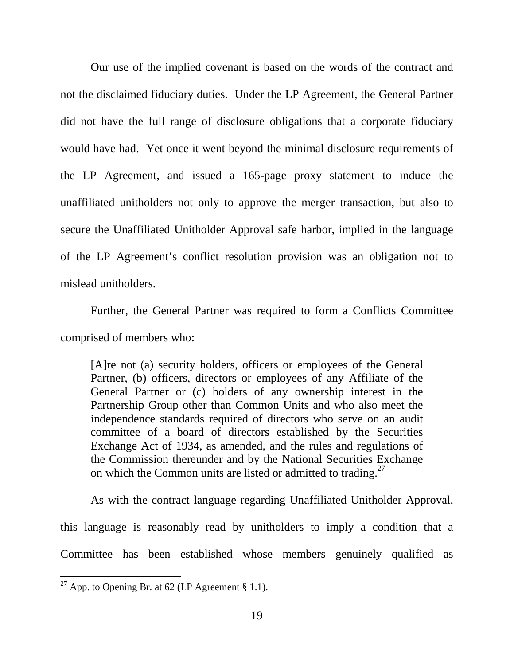Our use of the implied covenant is based on the words of the contract and not the disclaimed fiduciary duties. Under the LP Agreement, the General Partner did not have the full range of disclosure obligations that a corporate fiduciary would have had. Yet once it went beyond the minimal disclosure requirements of the LP Agreement, and issued a 165-page proxy statement to induce the unaffiliated unitholders not only to approve the merger transaction, but also to secure the Unaffiliated Unitholder Approval safe harbor, implied in the language of the LP Agreement's conflict resolution provision was an obligation not to mislead unitholders.

Further, the General Partner was required to form a Conflicts Committee comprised of members who:

[A]re not (a) security holders, officers or employees of the General Partner, (b) officers, directors or employees of any Affiliate of the General Partner or (c) holders of any ownership interest in the Partnership Group other than Common Units and who also meet the independence standards required of directors who serve on an audit committee of a board of directors established by the Securities Exchange Act of 1934, as amended, and the rules and regulations of the Commission thereunder and by the National Securities Exchange on which the Common units are listed or admitted to trading.<sup>27</sup>

 As with the contract language regarding Unaffiliated Unitholder Approval, this language is reasonably read by unitholders to imply a condition that a Committee has been established whose members genuinely qualified as

<sup>&</sup>lt;sup>27</sup> App. to Opening Br. at 62 (LP Agreement § 1.1).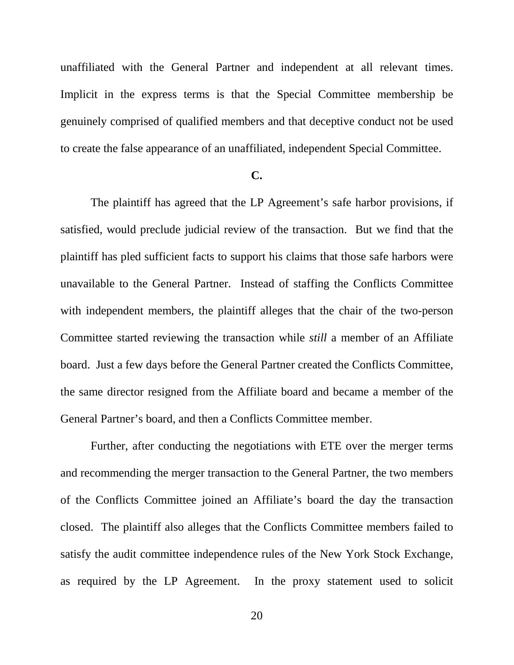unaffiliated with the General Partner and independent at all relevant times. Implicit in the express terms is that the Special Committee membership be genuinely comprised of qualified members and that deceptive conduct not be used to create the false appearance of an unaffiliated, independent Special Committee.

#### **C.**

 The plaintiff has agreed that the LP Agreement's safe harbor provisions, if satisfied, would preclude judicial review of the transaction. But we find that the plaintiff has pled sufficient facts to support his claims that those safe harbors were unavailable to the General Partner. Instead of staffing the Conflicts Committee with independent members, the plaintiff alleges that the chair of the two-person Committee started reviewing the transaction while *still* a member of an Affiliate board. Just a few days before the General Partner created the Conflicts Committee, the same director resigned from the Affiliate board and became a member of the General Partner's board, and then a Conflicts Committee member.

 Further, after conducting the negotiations with ETE over the merger terms and recommending the merger transaction to the General Partner, the two members of the Conflicts Committee joined an Affiliate's board the day the transaction closed. The plaintiff also alleges that the Conflicts Committee members failed to satisfy the audit committee independence rules of the New York Stock Exchange, as required by the LP Agreement. In the proxy statement used to solicit